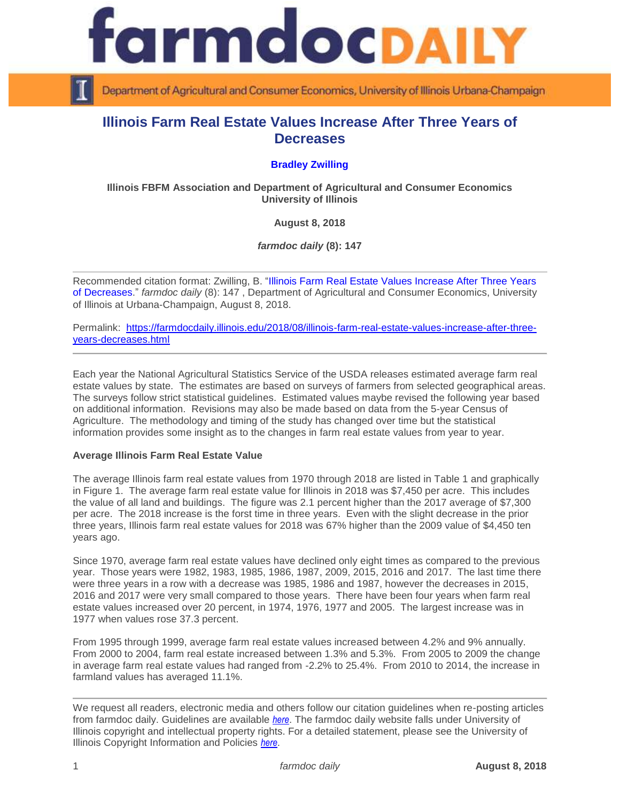



Department of Agricultural and Consumer Economics, University of Illinois Urbana-Champaign

## **Illinois Farm Real Estate Values Increase After Three Years of Decreases**

## **[Bradley Zwilling](http://fbfm.org/directory.asp)**

**Illinois FBFM Association and Department of Agricultural and Consumer Economics University of Illinois**

**August 8, 2018**

*farmdoc daily* **(8): 147**

Recommended citation format: Zwilling, B. ["Illinois Farm Real Estate Values Increase After Three Years](http://farmdocdaily.illinois.edu/)  [of Decreases.](http://farmdocdaily.illinois.edu/)" *farmdoc daily* (8): 147 , Department of Agricultural and Consumer Economics, University of Illinois at Urbana-Champaign, August 8, 2018.

Permalink: [https://farmdocdaily.illinois.edu/2018/08/illinois-farm-real-estate-values-increase-after-three](https://farmdocdaily.illinois.edu/2018/08/illinois-farm-real-estate-values-increase-after-three-years-decreases.html)[years-decreases.html](https://farmdocdaily.illinois.edu/2018/08/illinois-farm-real-estate-values-increase-after-three-years-decreases.html)

Each year the National Agricultural Statistics Service of the USDA releases estimated average farm real estate values by state. The estimates are based on surveys of farmers from selected geographical areas. The surveys follow strict statistical guidelines. Estimated values maybe revised the following year based on additional information. Revisions may also be made based on data from the 5-year Census of Agriculture. The methodology and timing of the study has changed over time but the statistical information provides some insight as to the changes in farm real estate values from year to year.

## **Average Illinois Farm Real Estate Value**

The average Illinois farm real estate values from 1970 through 2018 are listed in Table 1 and graphically in Figure 1. The average farm real estate value for Illinois in 2018 was \$7,450 per acre. This includes the value of all land and buildings. The figure was 2.1 percent higher than the 2017 average of \$7,300 per acre. The 2018 increase is the forst time in three years. Even with the slight decrease in the prior three years, Illinois farm real estate values for 2018 was 67% higher than the 2009 value of \$4,450 ten years ago.

Since 1970, average farm real estate values have declined only eight times as compared to the previous year. Those years were 1982, 1983, 1985, 1986, 1987, 2009, 2015, 2016 and 2017. The last time there were three years in a row with a decrease was 1985, 1986 and 1987, however the decreases in 2015, 2016 and 2017 were very small compared to those years. There have been four years when farm real estate values increased over 20 percent, in 1974, 1976, 1977 and 2005. The largest increase was in 1977 when values rose 37.3 percent.

From 1995 through 1999, average farm real estate values increased between 4.2% and 9% annually. From 2000 to 2004, farm real estate increased between 1.3% and 5.3%. From 2005 to 2009 the change in average farm real estate values had ranged from -2.2% to 25.4%. From 2010 to 2014, the increase in farmland values has averaged 11.1%.

We request all readers, electronic media and others follow our citation guidelines when re-posting articles from farmdoc daily. Guidelines are available *[here](http://farmdocdaily.illinois.edu/citationguide.html)*. The farmdoc daily website falls under University of Illinois copyright and intellectual property rights. For a detailed statement, please see the University of Illinois Copyright Information and Policies *[here](http://www.cio.illinois.edu/policies/copyright/)*.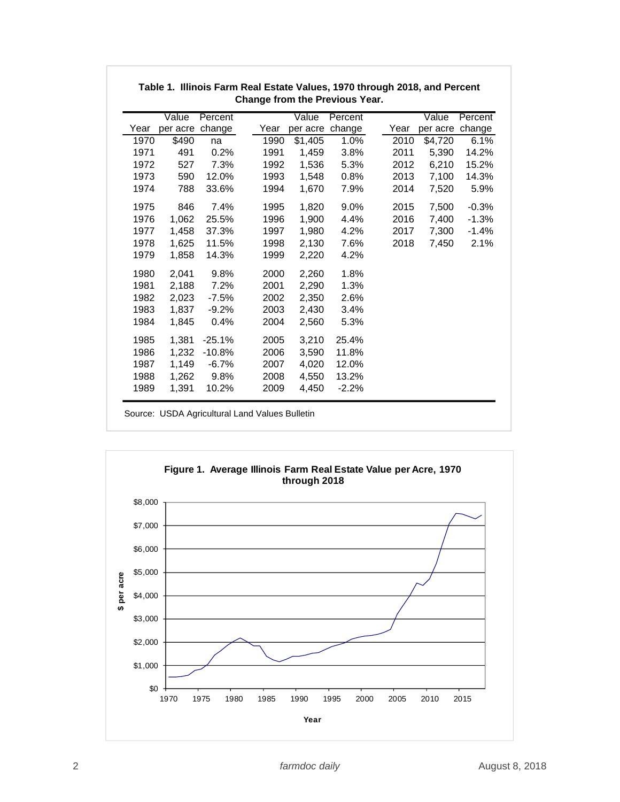|      | Value    | Percent  |      | Value    | Percent |      | Value           | Percent |
|------|----------|----------|------|----------|---------|------|-----------------|---------|
| Year | per acre | change   | Year | per acre | change  | Year | per acre change |         |
| 1970 | \$490    | na       | 1990 | \$1,405  | 1.0%    | 2010 | \$4,720         | 6.1%    |
| 1971 | 491      | 0.2%     | 1991 | 1,459    | 3.8%    | 2011 | 5,390           | 14.2%   |
| 1972 | 527      | 7.3%     | 1992 | 1,536    | 5.3%    | 2012 | 6,210           | 15.2%   |
| 1973 | 590      | 12.0%    | 1993 | 1,548    | 0.8%    | 2013 | 7,100           | 14.3%   |
| 1974 | 788      | 33.6%    | 1994 | 1,670    | 7.9%    | 2014 | 7,520           | 5.9%    |
| 1975 | 846      | 7.4%     | 1995 | 1,820    | 9.0%    | 2015 | 7,500           | $-0.3%$ |
| 1976 | 1,062    | 25.5%    | 1996 | 1,900    | 4.4%    | 2016 | 7,400           | $-1.3%$ |
| 1977 | 1,458    | 37.3%    | 1997 | 1,980    | 4.2%    | 2017 | 7,300           | $-1.4%$ |
| 1978 | 1,625    | 11.5%    | 1998 | 2,130    | 7.6%    | 2018 | 7,450           | 2.1%    |
| 1979 | 1,858    | 14.3%    | 1999 | 2,220    | 4.2%    |      |                 |         |
| 1980 | 2,041    | 9.8%     | 2000 | 2,260    | 1.8%    |      |                 |         |
| 1981 | 2,188    | 7.2%     | 2001 | 2,290    | 1.3%    |      |                 |         |
| 1982 | 2,023    | $-7.5%$  | 2002 | 2,350    | 2.6%    |      |                 |         |
| 1983 | 1,837    | $-9.2%$  | 2003 | 2,430    | 3.4%    |      |                 |         |
| 1984 | 1,845    | 0.4%     | 2004 | 2,560    | 5.3%    |      |                 |         |
| 1985 | 1,381    | $-25.1%$ | 2005 | 3,210    | 25.4%   |      |                 |         |
| 1986 | 1,232    | $-10.8%$ | 2006 | 3,590    | 11.8%   |      |                 |         |
| 1987 | 1,149    | $-6.7%$  | 2007 | 4,020    | 12.0%   |      |                 |         |
| 1988 | 1,262    | 9.8%     | 2008 | 4,550    | 13.2%   |      |                 |         |
| 1989 | 1,391    | 10.2%    | 2009 | 4,450    | $-2.2%$ |      |                 |         |

## **Table 1. Illinois Farm Real Estate Values, 1970 through 2018, and Percent Change from the Previous Year.**

Source: USDA Agricultural Land Values Bulletin